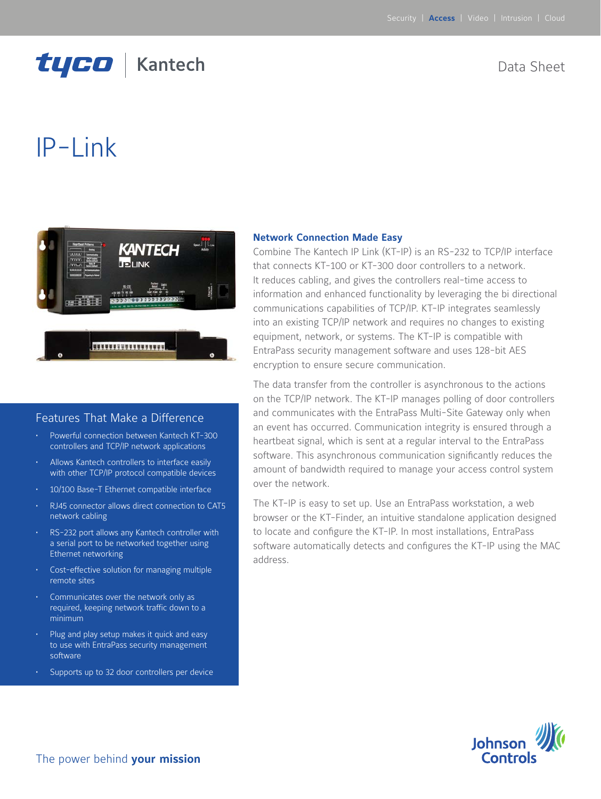## tyco | Kantech

## Data Sheet

# IP-Link



## Features That Make a Difference

- Powerful connection between Kantech KT-300 controllers and TCP/IP network applications
- Allows Kantech controllers to interface easily with other TCP/IP protocol compatible devices
- 10/100 Base-T Ethernet compatible interface
- RJ45 connector allows direct connection to CAT5 network cabling
- RS-232 port allows any Kantech controller with a serial port to be networked together using Ethernet networking
- Cost-effective solution for managing multiple remote sites
- Communicates over the network only as required, keeping network traffic down to a minimum
- Plug and play setup makes it quick and easy to use with EntraPass security management software
- Supports up to 32 door controllers per device

#### **Network Connection Made Easy**

Combine The Kantech IP Link (KT-IP) is an RS-232 to TCP/IP interface that connects KT-100 or KT-300 door controllers to a network. It reduces cabling, and gives the controllers real-time access to information and enhanced functionality by leveraging the bi directional communications capabilities of TCP/IP. KT-IP integrates seamlessly into an existing TCP/IP network and requires no changes to existing equipment, network, or systems. The KT-IP is compatible with EntraPass security management software and uses 128-bit AES encryption to ensure secure communication.

The data transfer from the controller is asynchronous to the actions on the TCP/IP network. The KT-IP manages polling of door controllers and communicates with the EntraPass Multi-Site Gateway only when an event has occurred. Communication integrity is ensured through a heartbeat signal, which is sent at a regular interval to the EntraPass software. This asynchronous communication significantly reduces the amount of bandwidth required to manage your access control system over the network.

The KT-IP is easy to set up. Use an EntraPass workstation, a web browser or the KT-Finder, an intuitive standalone application designed to locate and configure the KT-IP. In most installations, EntraPass software automatically detects and configures the KT-IP using the MAC address.

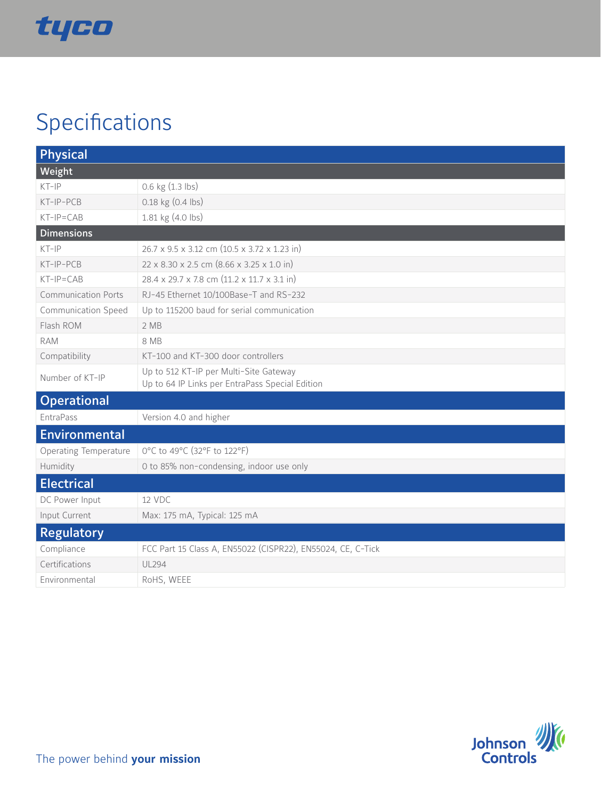

# Specifications

| <b>Physical</b>              |                                                                                           |
|------------------------------|-------------------------------------------------------------------------------------------|
| Weight                       |                                                                                           |
| $KT-IP$                      | 0.6 kg (1.3 lbs)                                                                          |
| KT-IP-PCB                    | 0.18 kg (0.4 lbs)                                                                         |
| $KT-IP=CAB$                  | 1.81 kg (4.0 lbs)                                                                         |
| <b>Dimensions</b>            |                                                                                           |
| $KT-IP$                      | 26.7 x 9.5 x 3.12 cm (10.5 x 3.72 x 1.23 in)                                              |
| KT-IP-PCB                    | 22 x 8.30 x 2.5 cm (8.66 x 3.25 x 1.0 in)                                                 |
| $KT-IP=CAB$                  | 28.4 x 29.7 x 7.8 cm (11.2 x 11.7 x 3.1 in)                                               |
| <b>Communication Ports</b>   | RJ-45 Ethernet 10/100Base-T and RS-232                                                    |
| <b>Communication Speed</b>   | Up to 115200 baud for serial communication                                                |
| Flash ROM                    | 2MB                                                                                       |
| <b>RAM</b>                   | 8 MB                                                                                      |
| Compatibility                | KT-100 and KT-300 door controllers                                                        |
| Number of KT-IP              | Up to 512 KT-IP per Multi-Site Gateway<br>Up to 64 IP Links per EntraPass Special Edition |
| <b>Operational</b>           |                                                                                           |
| EntraPass                    | Version 4.0 and higher                                                                    |
| Environmental                |                                                                                           |
| <b>Operating Temperature</b> | 0°C to 49°C (32°F to 122°F)                                                               |
| Humidity                     | 0 to 85% non-condensing, indoor use only                                                  |
| <b>Electrical</b>            |                                                                                           |
| DC Power Input               | 12 VDC                                                                                    |
| Input Current                | Max: 175 mA, Typical: 125 mA                                                              |
| <b>Regulatory</b>            |                                                                                           |
| Compliance                   | FCC Part 15 Class A, EN55022 (CISPR22), EN55024, CE, C-Tick                               |
| Certifications               | <b>UL294</b>                                                                              |
| Environmental                | RoHS, WEEE                                                                                |